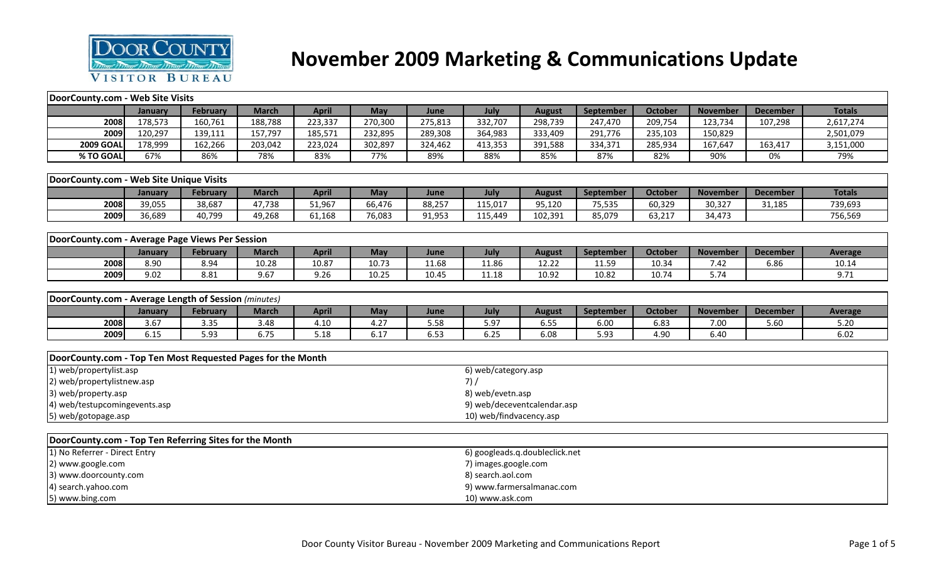

# **November 2009 Marketing & Communications Update**

| DoorCounty.com - Web Site Visits                            |         |                 |              |              |         |                                |                             |                      |                  |                |                 |                 |                |  |  |
|-------------------------------------------------------------|---------|-----------------|--------------|--------------|---------|--------------------------------|-----------------------------|----------------------|------------------|----------------|-----------------|-----------------|----------------|--|--|
|                                                             | January | February        | <b>March</b> | <b>April</b> | May     | June                           | July                        | <b>August</b>        | <b>September</b> | <b>October</b> | <b>November</b> | <b>December</b> | <b>Totals</b>  |  |  |
| 2008                                                        | 178,573 | 160,761         | 188,788      | 223,337      | 270,300 | 275,813                        | 332,707                     | 298,739              | 247,470          | 209,754        | 123,734         | 107,298         | 2,617,274      |  |  |
| 2009                                                        | 120,297 | 139,111         | 157,797      | 185,571      | 232,895 | 289,308                        | 364,983                     | 333,409              | 291,776          | 235,103        | 150,829         |                 | 2,501,079      |  |  |
| <b>2009 GOAL</b>                                            | 178,999 | 162,266         | 203,042      | 223,024      | 302,897 | 324,462                        | 413,353                     | 391,588              | 334,371          | 285,934        | 167,647         | 163,417         | 3,151,000      |  |  |
| % TO GOAL                                                   | 67%     | 86%             | 78%          | 83%          | 77%     | 89%                            | 88%                         | 85%                  | 87%              | 82%            | 90%             | 0%              | 79%            |  |  |
|                                                             |         |                 |              |              |         |                                |                             |                      |                  |                |                 |                 |                |  |  |
| DoorCounty.com - Web Site Unique Visits                     |         |                 |              |              |         |                                |                             |                      |                  |                |                 |                 |                |  |  |
|                                                             | January | <b>February</b> | <b>March</b> | <b>April</b> | May     | June                           | July                        | <b>August</b>        | September        | <b>October</b> | <b>November</b> | <b>December</b> | <b>Totals</b>  |  |  |
| 2008                                                        | 39,055  | 38,687          | 47,738       | 51,967       | 66,476  | 88,257                         | 115,017                     | 95,120               | 75,535           | 60,329         | 30,327          | 31,185          | 739,693        |  |  |
| 2009                                                        | 36,689  | 40,799          | 49,268       | 61,168       | 76,083  | 91,953                         | 115,449                     | 102,391              | 85,079           | 63,217         | 34,473          |                 | 756,569        |  |  |
|                                                             |         |                 |              |              |         |                                |                             |                      |                  |                |                 |                 |                |  |  |
| DoorCounty.com - Average Page Views Per Session             |         |                 |              |              |         |                                |                             |                      |                  |                |                 |                 |                |  |  |
|                                                             | January | February        | <b>March</b> | <b>April</b> | May     | June                           | July                        | <b>August</b>        | September        | October        | <b>November</b> | <b>December</b> | <b>Average</b> |  |  |
| 2008                                                        | 8.90    | 8.94            | 10.28        | 10.87        | 10.73   | 11.68                          | 11.86                       | 12.22                | 11.59            | 10.34          | 7.42            | 6.86            | 10.14          |  |  |
| 2009                                                        | 9.02    | 8.81            | 9.67         | 9.26         | 10.25   | 10.45                          | 11.18                       | 10.92                | 10.82            | 10.74          | 5.74            |                 | 9.71           |  |  |
|                                                             |         |                 |              |              |         |                                |                             |                      |                  |                |                 |                 |                |  |  |
| DoorCounty.com - Average Length of Session (minutes)        |         |                 |              |              |         |                                |                             |                      |                  |                |                 |                 |                |  |  |
|                                                             | January | <b>February</b> | <b>March</b> | <b>April</b> | May     | June                           | July                        | <b>August</b>        | September        | <b>October</b> | <b>November</b> | <b>December</b> | <b>Average</b> |  |  |
| 2008                                                        | 3.67    | 3.35            | 3.48         | 4.10         | 4.27    | 5.58                           | 5.97                        | 6.55                 | 6.00             | 6.83           | 7.00            | 5.60            | 5.20           |  |  |
| 2009                                                        | 6.15    | 5.93            | 6.75         | 5.18         | 6.17    | 6.53                           | 6.25                        | 6.08                 | 5.93             | 4.90           | 6.40            |                 | 6.02           |  |  |
|                                                             |         |                 |              |              |         |                                |                             |                      |                  |                |                 |                 |                |  |  |
| DoorCounty.com - Top Ten Most Requested Pages for the Month |         |                 |              |              |         |                                |                             |                      |                  |                |                 |                 |                |  |  |
| 1) web/propertylist.asp                                     |         |                 |              |              |         |                                | 6) web/category.asp         |                      |                  |                |                 |                 |                |  |  |
| 2) web/propertylistnew.asp                                  |         |                 |              |              |         |                                | 7) /                        |                      |                  |                |                 |                 |                |  |  |
| 3) web/property.asp                                         |         |                 |              |              |         |                                | 8) web/evetn.asp            |                      |                  |                |                 |                 |                |  |  |
| 4) web/testupcomingevents.asp                               |         |                 |              |              |         |                                | 9) web/deceventcalendar.asp |                      |                  |                |                 |                 |                |  |  |
| 10) web/findvacency.asp<br>5) web/gotopage.asp              |         |                 |              |              |         |                                |                             |                      |                  |                |                 |                 |                |  |  |
|                                                             |         |                 |              |              |         |                                |                             |                      |                  |                |                 |                 |                |  |  |
| DoorCounty.com - Top Ten Referring Sites for the Month      |         |                 |              |              |         |                                |                             |                      |                  |                |                 |                 |                |  |  |
| 1) No Referrer - Direct Entry                               |         |                 |              |              |         | 6) googleads.q.doubleclick.net |                             |                      |                  |                |                 |                 |                |  |  |
| 2) www.google.com                                           |         |                 |              |              |         |                                |                             | 7) images.google.com |                  |                |                 |                 |                |  |  |
| 3) www.doorcounty.com                                       |         |                 |              |              |         |                                | 8) search.aol.com           |                      |                  |                |                 |                 |                |  |  |
| 4) search.yahoo.com                                         |         |                 |              |              |         |                                | 9) www.farmersalmanac.com   |                      |                  |                |                 |                 |                |  |  |
| 5) www.bing.com                                             |         |                 |              |              |         |                                | 10) www.ask.com             |                      |                  |                |                 |                 |                |  |  |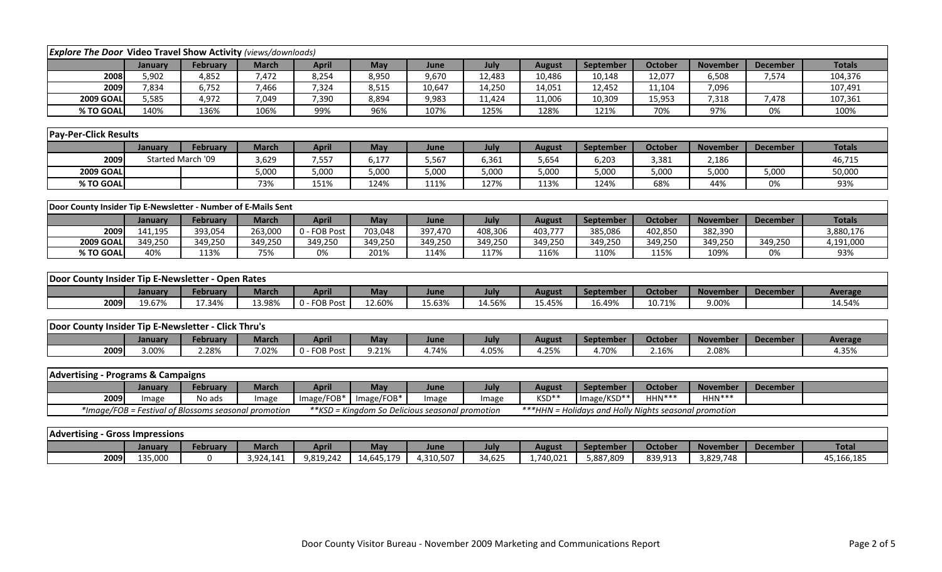| <b>Explore The Door Video Travel Show Activity (views/downloads)</b> |         |                                                      |              |              |            |                                                 |         |               |                                                        |                |                 |                 |                |
|----------------------------------------------------------------------|---------|------------------------------------------------------|--------------|--------------|------------|-------------------------------------------------|---------|---------------|--------------------------------------------------------|----------------|-----------------|-----------------|----------------|
|                                                                      | January | February                                             | <b>March</b> | <b>April</b> | <b>May</b> | June                                            | July    | <b>August</b> | September                                              | October        | <b>November</b> | <b>December</b> | <b>Totals</b>  |
| 2008                                                                 | 5,902   | 4,852                                                | 7,472        | 8,254        | 8,950      | 9,670                                           | 12,483  | 10,486        | 10,148                                                 | 12,077         | 6,508           | 7,574           | 104,376        |
| 2009                                                                 | 7,834   | 6,752                                                | 7,466        | 7,324        | 8,515      | 10,647                                          | 14,250  | 14,051        | 12,452                                                 | 11,104         | 7,096           |                 | 107,491        |
| <b>2009 GOAL</b>                                                     | 5,585   | 4,972                                                | 7,049        | 7,390        | 8,894      | 9,983                                           | 11,424  | 11,006        | 10,309                                                 | 15,953         | 7,318           | 7,478           | 107,361        |
| % TO GOAL                                                            | 140%    | 136%                                                 | 106%         | 99%          | 96%        | 107%                                            | 125%    | 128%          | 121%                                                   | 70%            | 97%             | 0%              | 100%           |
|                                                                      |         |                                                      |              |              |            |                                                 |         |               |                                                        |                |                 |                 |                |
| <b>Pay-Per-Click Results</b>                                         |         |                                                      |              |              |            |                                                 |         |               |                                                        |                |                 |                 |                |
|                                                                      | January | February                                             | <b>March</b> | <b>April</b> | May        | June                                            | July    | <b>August</b> | September                                              | October        | <b>November</b> | <b>December</b> | <b>Totals</b>  |
| 2009                                                                 |         | Started March '09                                    | 3,629        | 7,557        | 6,177      | 5,567                                           | 6,361   | 5,654         | 6,203                                                  | 3,381          | 2,186           |                 | 46,715         |
| <b>2009 GOAL</b>                                                     |         |                                                      | 5,000        | 5,000        | 5,000      | 5,000                                           | 5,000   | 5,000         | 5,000                                                  | 5,000          | 5,000           | 5,000           | 50,000         |
| % TO GOAL                                                            |         |                                                      | 73%          | 151%         | 124%       | 111%                                            | 127%    | 113%          | 124%                                                   | 68%            | 44%             | 0%              | 93%            |
|                                                                      |         |                                                      |              |              |            |                                                 |         |               |                                                        |                |                 |                 |                |
| Door County Insider Tip E-Newsletter - Number of E-Mails Sent        |         |                                                      |              |              |            |                                                 |         |               |                                                        |                |                 |                 |                |
|                                                                      | January | February                                             | <b>March</b> | <b>April</b> | May        | June                                            | July    | <b>August</b> | September                                              | October        | <b>November</b> | <b>December</b> | <b>Totals</b>  |
| 2009                                                                 | 141,195 | 393,054                                              | 263,000      | 0 - FOB Post | 703,048    | 397,470                                         | 408,306 | 403,777       | 385,086                                                | 402,850        | 382,390         |                 | 3,880,176      |
| <b>2009 GOAL</b>                                                     | 349,250 | 349,250                                              | 349,250      | 349,250      | 349,250    | 349,250                                         | 349,250 | 349,250       | 349,250                                                | 349,250        | 349,250         | 349,250         | 4,191,000      |
| % TO GOAL                                                            | 40%     | 113%                                                 | 75%          | 0%           | 201%       | 114%                                            | 117%    | 116%          | 110%                                                   | 115%           | 109%            | 0%              | 93%            |
|                                                                      |         |                                                      |              |              |            |                                                 |         |               |                                                        |                |                 |                 |                |
| Door County Insider Tip E-Newsletter - Open Rates                    |         |                                                      |              |              |            |                                                 |         |               |                                                        |                |                 |                 |                |
|                                                                      | January | February                                             | <b>March</b> | <b>April</b> | May        | June                                            | July    | <b>August</b> | <b>September</b>                                       | <b>October</b> | <b>November</b> | <b>December</b> | <b>Average</b> |
| 2009                                                                 | 19.67%  | 17.34%                                               | 13.98%       | 0 - FOB Post | 12.60%     | 15.63%                                          | 14.56%  | 15.45%        | 16.49%                                                 | 10.71%         | 9.00%           |                 | 14.54%         |
|                                                                      |         |                                                      |              |              |            |                                                 |         |               |                                                        |                |                 |                 |                |
| Door County Insider Tip E-Newsletter - Click Thru's                  |         |                                                      |              |              |            |                                                 |         |               |                                                        |                |                 |                 |                |
|                                                                      | January | February                                             | <b>March</b> | <b>April</b> | May        | June                                            | July    | <b>August</b> | September                                              | October        | <b>November</b> | <b>December</b> | Average        |
| 2009                                                                 | 3.00%   | 2.28%                                                | 7.02%        | 0 - FOB Post | 9.21%      | 4.74%                                           | 4.05%   | 4.25%         | 4.70%                                                  | 2.16%          | 2.08%           |                 | 4.35%          |
|                                                                      |         |                                                      |              |              |            |                                                 |         |               |                                                        |                |                 |                 |                |
| <b>Advertising - Programs &amp; Campaigns</b>                        |         |                                                      |              |              |            |                                                 |         |               |                                                        |                |                 |                 |                |
|                                                                      | January | February                                             | <b>March</b> | <b>April</b> | May        | June                                            | July    | <b>August</b> | September                                              | <b>October</b> | <b>November</b> | <b>December</b> |                |
| 2009                                                                 | Image   | No ads                                               | Image        | $Image/FOB*$ | Image/FOB* | Image                                           | Image   | KSD**         | Image/KSD**                                            | HHN***         | $HHN***$        |                 |                |
|                                                                      |         | *Image/FOB = Festival of Blossoms seasonal promotion |              |              |            | **KSD = Kingdom So Delicious seasonal promotion |         |               | *** HHN = Holidays and Holly Nights seasonal promotion |                |                 |                 |                |
|                                                                      |         |                                                      |              |              |            |                                                 |         |               |                                                        |                |                 |                 |                |
| <b>Advertising - Gross Impressions</b>                               |         |                                                      |              |              |            |                                                 |         |               |                                                        |                |                 |                 |                |
|                                                                      | January | February                                             | <b>March</b> | <b>April</b> | May        | June                                            | July    | <b>August</b> | September                                              | October        | <b>November</b> | <b>December</b> | <b>Total</b>   |
| 2009                                                                 | 135,000 | $\mathbf 0$                                          | 3,924,141    | 9,819,242    | 14,645,179 | 4,310,507                                       | 34,625  | 1,740,021     | 5,887,809                                              | 839,913        | 3,829,748       |                 | 45,166,185     |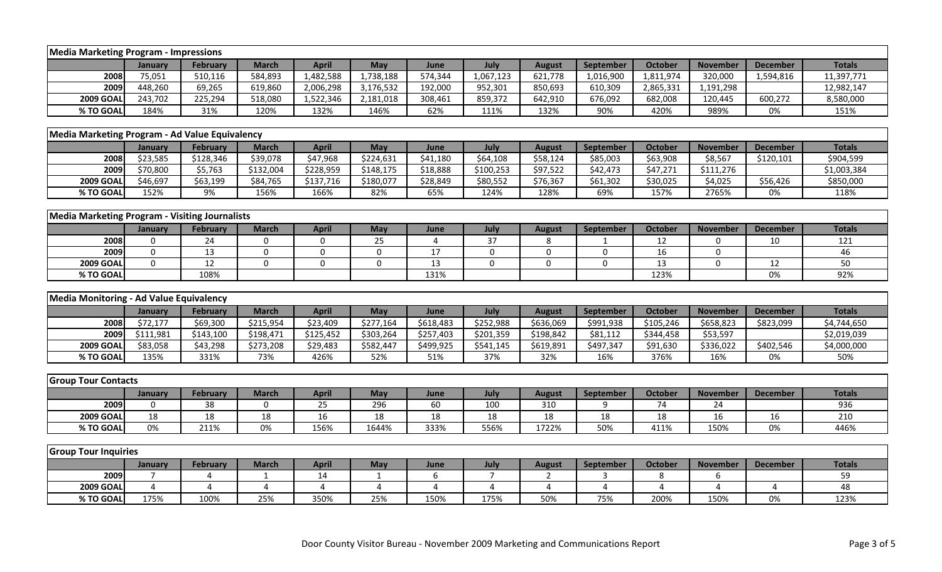| <b>Media Marketing Program - Impressions</b>   |                |                 |                       |                 |             |           |                |                |                  |                |                 |                 |               |
|------------------------------------------------|----------------|-----------------|-----------------------|-----------------|-------------|-----------|----------------|----------------|------------------|----------------|-----------------|-----------------|---------------|
|                                                | January        | <b>February</b> | <b>March</b>          | <b>April</b>    | May         | June      | July           | <b>August</b>  | September        | <b>October</b> | <b>November</b> | <b>December</b> | <b>Totals</b> |
| 2008                                           | 75,051         | 510,116         | 584,893               | 1,482,588       | 1,738,188   | 574,344   | 1,067,123      | 621,778        | 1,016,900        | 1,811,974      | 320,000         | 1,594,816       | 11,397,771    |
| 2009                                           | 448,260        | 69,265          | 619,860               | 2,006,298       | 3,176,532   | 192,000   | 952,301        | 850,693        | 610,309          | 2,865,331      | 1,191,298       |                 | 12,982,147    |
| <b>2009 GOAL</b>                               | 243,702        | 225,294         | 518,080               | 1,522,346       | 2,181,018   | 308,461   | 859,372        | 642,910        | 676,092          | 682,008        | 120,445         | 600,272         | 8,580,000     |
| % TO GOAL                                      | 184%           | 31%             | 120%                  | 132%            | 146%        | 62%       | 111%           | 132%           | 90%              | 420%           | 989%            | 0%              | 151%          |
|                                                |                |                 |                       |                 |             |           |                |                |                  |                |                 |                 |               |
| Media Marketing Program - Ad Value Equivalency |                |                 |                       |                 |             |           |                |                |                  |                |                 |                 |               |
|                                                | January        | <b>February</b> | <b>March</b>          | <b>April</b>    | May         | June      | July           | <b>August</b>  | <b>September</b> | <b>October</b> | <b>November</b> | <b>December</b> | <b>Totals</b> |
| 2008                                           | \$23,585       | \$128,346       | \$39,078              | \$47,968        | \$224,631   | \$41,180  | \$64,108       | \$58,124       | \$85,003         | \$63,908       | \$8,567         | \$120,101       | \$904,599     |
| 2009                                           | \$70,800       | \$5,763         | \$132,004             | \$228,959       | \$148,175   | \$18,888  | \$100,253      | \$97,522       | \$42,473         | \$47,271       | \$111,276       |                 | \$1,003,384   |
| <b>2009 GOAL</b>                               | \$46,697       | \$63,199        | \$84,765              | \$137,716       | \$180,077   | \$28,849  | \$80,552       | \$76,367       | \$61,302         | \$30,025       | \$4,025         | \$56,426        | \$850,000     |
| % TO GOAL                                      | 152%           | 9%              | 156%                  | 166%            | 82%         | 65%       | 124%           | 128%           | 69%              | 157%           | 2765%           | 0%              | 118%          |
|                                                |                |                 |                       |                 |             |           |                |                |                  |                |                 |                 |               |
| Media Marketing Program - Visiting Journalists |                |                 |                       |                 |             |           |                |                |                  |                |                 |                 |               |
|                                                | January        | February        | <b>March</b>          | <b>April</b>    | May         | June      | July           | <b>August</b>  | September        | October        | <b>November</b> | <b>December</b> | <b>Totals</b> |
| 2008                                           | $\mathbf 0$    | 24              | $\mathbf 0$           | 0               | 25          | 4         | 37             | 8              | -1               | 12             | 0               | 10              | 121           |
| 2009                                           | $\mathbf 0$    | 13              | $\mathbf 0$           | 0               | 0           | 17        | 0              | 0              | 0                | 16             | 0               |                 | 46            |
| <b>2009 GOAL</b>                               | $\mathbf 0$    | 12              | $\mathbf 0$           | $\mathbf 0$     | $\mathbf 0$ | 13        | $\mathbf 0$    | $\mathbf 0$    | $\mathbf 0$      | 13             | 0               | 12              | 50            |
| % TO GOAL                                      |                | 108%            |                       |                 |             | 131%      |                |                |                  | 123%           |                 | 0%              | 92%           |
|                                                |                |                 |                       |                 |             |           |                |                |                  |                |                 |                 |               |
| Media Monitoring - Ad Value Equivalency        |                |                 |                       |                 |             |           |                |                |                  |                |                 |                 |               |
|                                                | January        | <b>February</b> | <b>March</b>          | <b>April</b>    | May         | June      | July           | <b>August</b>  | September        | October        | <b>November</b> | <b>December</b> | <b>Totals</b> |
| 2008                                           | \$72,177       | \$69,300        | $\overline{$}215,954$ | \$23,409        | \$277,164   | \$618,483 | \$252,988      | \$636,069      | \$991,938        | \$105,246      | \$658,823       | \$823,099       | \$4,744,650   |
| 2009                                           | \$111,981      | \$143,100       | \$198,471             | \$125,452       | \$303,264   | \$257,403 | \$201,359      | \$198,842      | \$81,112         | \$344,458      | \$53,597        |                 | \$2,019,039   |
| <b>2009 GOAL</b>                               | \$83,058       | \$43,298        | \$273,208             | \$29,483        | \$582,447   | \$499,925 | \$541,145      | \$619,891      | \$497,347        | \$91,630       | \$336,022       | \$402,546       | \$4,000,000   |
| % TO GOAL                                      | 135%           | 331%            | 73%                   | 426%            | 52%         | 51%       | 37%            | 32%            | 16%              | 376%           | 16%             | 0%              | 50%           |
|                                                |                |                 |                       |                 |             |           |                |                |                  |                |                 |                 |               |
| <b>Group Tour Contacts</b>                     |                |                 |                       |                 |             |           |                |                |                  |                |                 |                 |               |
|                                                | January        | <b>February</b> | <b>March</b>          | <b>April</b>    | May         | June      | July           | <b>August</b>  | September        | October        | <b>November</b> | <b>December</b> | <b>Totals</b> |
| 2009                                           | 0              | 38              | 0                     | $\overline{25}$ | 296         | 60        | 100            | 310            | 9                | 74             | 24              |                 | 936           |
| <b>2009 GOAL</b>                               | 18             | 18              | 18                    | 16              | 18          | 18        | 18             | 18             | 18               | 18             | 16              | 16              | 210           |
| % TO GOAL                                      | 0%             | 211%            | 0%                    | 156%            | 1644%       | 333%      | 556%           | 1722%          | 50%              | 411%           | 150%            | 0%              | 446%          |
|                                                |                |                 |                       |                 |             |           |                |                |                  |                |                 |                 |               |
| <b>Group Tour Inquiries</b>                    |                |                 |                       |                 |             |           |                |                |                  |                |                 |                 |               |
|                                                | January        | <b>February</b> | <b>March</b>          | <b>April</b>    | May         | June      | July           | <b>August</b>  | September        | October        | <b>November</b> | <b>December</b> | <b>Totals</b> |
| 2009                                           | $\overline{7}$ | 4               | $\mathbf{1}$          | 14              | 1           | 6         | $\overline{7}$ | $\overline{2}$ | 3                | 8              | 6               |                 | 59            |
| <b>2009 GOAL</b>                               | 4              | 4               | $\overline{4}$        | 4               | 4           | 4         | 4              | $\overline{4}$ | 4                | $\overline{4}$ | 4               | $\overline{4}$  | 48            |
| % TO GOAL                                      | 175%           | 100%            | 25%                   | 350%            | 25%         | 150%      | 175%           | 50%            | 75%              | 200%           | 150%            | 0%              | 123%          |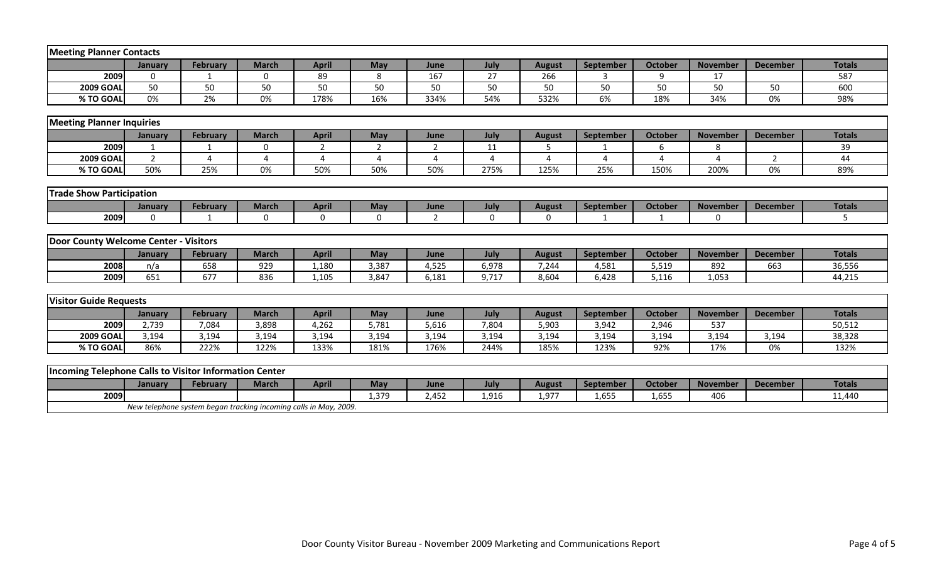| <b>Meeting Planner Contacts</b>                        |                |                 |              |              |              |                |          |               |                  |                |                 |                 |               |
|--------------------------------------------------------|----------------|-----------------|--------------|--------------|--------------|----------------|----------|---------------|------------------|----------------|-----------------|-----------------|---------------|
|                                                        | January        | <b>February</b> | <b>March</b> | <b>April</b> | <b>May</b>   | June           | July     | <b>August</b> | September        | <b>October</b> | <b>November</b> | <b>December</b> | <b>Totals</b> |
| 2009                                                   | $\Omega$       | -1              | $\mathbf{0}$ | 89           | 8            | 167            | 27       | 266           | κ                | 9              | 17              |                 | 587           |
| <b>2009 GOAL</b>                                       | 50             | 50              | 50           | 50           | 50           | 50             | 50       | 50            | 50               | 50             | 50              | 50              | 600           |
| % TO GOAL                                              | 0%             | 2%              | 0%           | 178%         | 16%          | 334%           | 54%      | 532%          | 6%               | 18%            | 34%             | 0%              | 98%           |
|                                                        |                |                 |              |              |              |                |          |               |                  |                |                 |                 |               |
| <b>Meeting Planner Inquiries</b>                       |                |                 |              |              |              |                |          |               |                  |                |                 |                 |               |
|                                                        | January        | <b>February</b> | <b>March</b> | <b>April</b> | May          | June           | July     | <b>August</b> | September        | October        | <b>November</b> | <b>December</b> | <b>Totals</b> |
| 2009                                                   |                |                 | 0            | 2            | 2            | 2              | 11       | 5             |                  | 6              | 8               |                 | 39            |
| <b>2009 GOAL</b>                                       | $\overline{2}$ | 4               | 4            | 4            | 4            | 4              | 4        | 4             | 4                | 4              | 4               | $\overline{2}$  | 44            |
| % TO GOAL                                              | 50%            | 25%             | 0%           | 50%          | 50%          | 50%            | 275%     | 125%          | 25%              | 150%           | 200%            | 0%              | 89%           |
|                                                        |                |                 |              |              |              |                |          |               |                  |                |                 |                 |               |
| <b>Trade Show Participation</b>                        |                |                 |              |              |              |                |          |               |                  |                |                 |                 |               |
|                                                        | January        | <b>February</b> | <b>March</b> | <b>April</b> | May          | June           | July     | <b>August</b> | <b>September</b> | <b>October</b> | <b>November</b> | <b>December</b> | <b>Totals</b> |
| 2009                                                   | $\Omega$       |                 | $\Omega$     | $\Omega$     | $\mathbf{0}$ | $\overline{2}$ | $\Omega$ | $\Omega$      | $\mathbf{1}$     | $\mathbf{1}$   | $\Omega$        |                 | 5             |
|                                                        |                |                 |              |              |              |                |          |               |                  |                |                 |                 |               |
| Door County Welcome Center - Visitors                  |                |                 |              |              |              |                |          |               |                  |                |                 |                 |               |
|                                                        | January        | <b>February</b> | <b>March</b> | <b>April</b> | May          | June           | July     | <b>August</b> | <b>September</b> | <b>October</b> | <b>November</b> | <b>December</b> | <b>Totals</b> |
| 2008                                                   | n/a            | 658             | 929          | 1,180        | 3,387        | 4,525          | 6,978    | 7,244         | 4,581            | 5,519          | 892             | 663             | 36,556        |
| 2009                                                   | 651            | 677             | 836          | 1,105        | 3,847        | 6,181          | 9,717    | 8,604         | 6,428            | 5,116          | 1,053           |                 | 44,215        |
|                                                        |                |                 |              |              |              |                |          |               |                  |                |                 |                 |               |
| <b>Visitor Guide Requests</b>                          |                |                 |              |              |              |                |          |               |                  |                |                 |                 |               |
|                                                        | January        | <b>February</b> | <b>March</b> | <b>April</b> | May          | June           | July     | <b>August</b> | September        | <b>October</b> | <b>November</b> | <b>December</b> | <b>Totals</b> |
| 2009                                                   | 2,739          | 7,084           | 3,898        | 4,262        | 5,781        | 5,616          | 7,804    | 5,903         | 3,942            | 2,946          | 537             |                 | 50,512        |
| <b>2009 GOAL</b>                                       | 3,194          | 3,194           | 3,194        | 3,194        | 3,194        | 3,194          | 3,194    | 3,194         | 3,194            | 3,194          | 3,194           | 3,194           | 38,328        |
| % TO GOAL                                              | 86%            | 222%            | 122%         | 133%         | 181%         | 176%           | 244%     | 185%          | 123%             | 92%            | 17%             | 0%              | 132%          |
|                                                        |                |                 |              |              |              |                |          |               |                  |                |                 |                 |               |
| Incoming Telephone Calls to Visitor Information Center |                |                 |              |              |              |                |          |               |                  |                |                 |                 |               |
|                                                        | January        | <b>February</b> | <b>March</b> | <b>April</b> | <b>May</b>   | June           | July     | <b>August</b> | September        | <b>October</b> | <b>November</b> | <b>December</b> | <b>Totals</b> |
| 2009                                                   |                |                 |              |              |              |                |          |               |                  |                | 406             |                 |               |
|                                                        |                |                 |              |              | 1,379        | 2,452          | 1,916    | 1,977         | 1,655            | 1,655          |                 |                 | 11,440        |